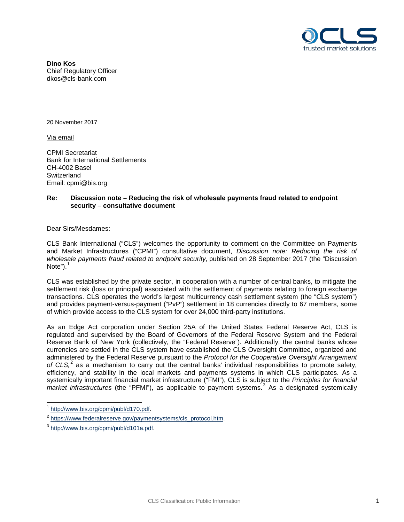

**Dino Kos** Chief Regulatory Officer dkos@cls-bank.com

20 November 2017

Via email

CPMI Secretariat Bank for International Settlements CH-4002 Basel **Switzerland** Email: cpmi@bis.org

# **Re: Discussion note – Reducing the risk of wholesale payments fraud related to endpoint security – consultative document**

Dear Sirs/Mesdames:

CLS Bank International ("CLS") welcomes the opportunity to comment on the Committee on Payments and Market Infrastructures ("CPMI") consultative document, *Discussion note: Reducing the risk of wholesale payments fraud related to endpoint security*, published on 28 September 2017 (the "Discussion Note" $)$ .<sup>[1](#page-0-0)</sup>

CLS was established by the private sector, in cooperation with a number of central banks, to mitigate the settlement risk (loss or principal) associated with the settlement of payments relating to foreign exchange transactions. CLS operates the world's largest multicurrency cash settlement system (the "CLS system") and provides payment-versus-payment ("PvP") settlement in 18 currencies directly to 67 members, some of which provide access to the CLS system for over 24,000 third-party institutions.

As an Edge Act corporation under Section 25A of the United States Federal Reserve Act, CLS is regulated and supervised by the Board of Governors of the Federal Reserve System and the Federal Reserve Bank of New York (collectively, the "Federal Reserve"). Additionally, the central banks whose currencies are settled in the CLS system have established the CLS Oversight Committee, organized and administered by the Federal Reserve pursuant to the *Protocol for the Cooperative Oversight Arrangement of CLS,* [2](#page-0-1) as a mechanism to carry out the central banks' individual responsibilities to promote safety, efficiency, and stability in the local markets and payments systems in which CLS participates. As a systemically important financial market infrastructure ("FMI"), CLS is subject to the *Principles for financial market infrastructures* (the "PFMI"), as applicable to payment systems.[3](#page-0-2) As a designated systemically

<span id="page-0-0"></span>[http://www.bis.org/cpmi/publ/d170.pdf.](http://www.bis.org/cpmi/publ/d170.pdf)

<span id="page-0-1"></span><sup>2</sup> [https://www.federalreserve.gov/paymentsystems/cls\\_protocol.htm.](https://www.federalreserve.gov/paymentsystems/cls_protocol.htm)

<span id="page-0-2"></span><sup>&</sup>lt;sup>3</sup> [http://www.bis.org/cpmi/publ/d101a.pdf.](http://www.bis.org/cpmi/publ/d101a.pdf)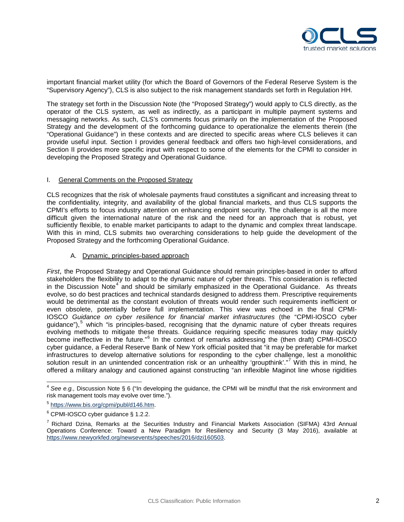

important financial market utility (for which the Board of Governors of the Federal Reserve System is the "Supervisory Agency"), CLS is also subject to the risk management standards set forth in Regulation HH.

The strategy set forth in the Discussion Note (the "Proposed Strategy") would apply to CLS directly, as the operator of the CLS system, as well as indirectly, as a participant in multiple payment systems and messaging networks. As such, CLS's comments focus primarily on the implementation of the Proposed Strategy and the development of the forthcoming guidance to operationalize the elements therein (the "Operational Guidance") in these contexts and are directed to specific areas where CLS believes it can provide useful input. Section I provides general feedback and offers two high-level considerations, and Section II provides more specific input with respect to some of the elements for the CPMI to consider in developing the Proposed Strategy and Operational Guidance.

### I. General Comments on the Proposed Strategy

CLS recognizes that the risk of wholesale payments fraud constitutes a significant and increasing threat to the confidentiality, integrity, and availability of the global financial markets, and thus CLS supports the CPMI's efforts to focus industry attention on enhancing endpoint security. The challenge is all the more difficult given the international nature of the risk and the need for an approach that is robust, yet sufficiently flexible, to enable market participants to adapt to the dynamic and complex threat landscape. With this in mind, CLS submits two overarching considerations to help guide the development of the Proposed Strategy and the forthcoming Operational Guidance.

### A. Dynamic, principles-based approach

*First*, the Proposed Strategy and Operational Guidance should remain principles-based in order to afford stakeholders the flexibility to adapt to the dynamic nature of cyber threats. This consideration is reflected in the Discussion Note<sup>[4](#page-1-0)</sup> and should be similarly emphasized in the Operational Guidance. As threats evolve, so do best practices and technical standards designed to address them. Prescriptive requirements would be detrimental as the constant evolution of threats would render such requirements inefficient or even obsolete, potentially before full implementation. This view was echoed in the final CPMI-IOSCO *Guidance on cyber resilience for financial market infrastructures* (the "CPMI-IOSCO cyber guidance"),<sup>[5](#page-1-1)</sup> which "is principles-based, recognising that the dynamic nature of cyber threats requires evolving methods to mitigate these threats. Guidance requiring specific measures today may quickly become ineffective in the future."[6](#page-1-2) In the context of remarks addressing the (then draft) CPMI-IOSCO cyber guidance, a Federal Reserve Bank of New York official posited that "it may be preferable for market infrastructures to develop alternative solutions for responding to the cyber challenge, lest a monolithic solution result in an unintended concentration risk or an unhealthy 'groupthink'."<sup>[7](#page-1-3)</sup> With this in mind, he offered a military analogy and cautioned against constructing "an inflexible Maginot line whose rigidities

<span id="page-1-0"></span><sup>4</sup> *See e.g.,* Discussion Note § 6 ("In developing the guidance, the CPMI will be mindful that the risk environment and risk management tools may evolve over time.").

<span id="page-1-1"></span><sup>5</sup> [https://www.bis.org/cpmi/publ/d146.htm.](https://www.bis.org/cpmi/publ/d146.htm)

<span id="page-1-2"></span><sup>6</sup> CPMI-IOSCO cyber guidance § 1.2.2.

<span id="page-1-3"></span><sup>&</sup>lt;sup>7</sup> Richard Dzina, Remarks at the Securities Industry and Financial Markets Association (SIFMA) 43rd Annual Operations Conference: Toward a New Paradigm for Resiliency and Security (3 May 2016), available at [https://www.newyorkfed.org/newsevents/speeches/2016/dzi160503.](https://www.newyorkfed.org/newsevents/speeches/2016/dzi160503)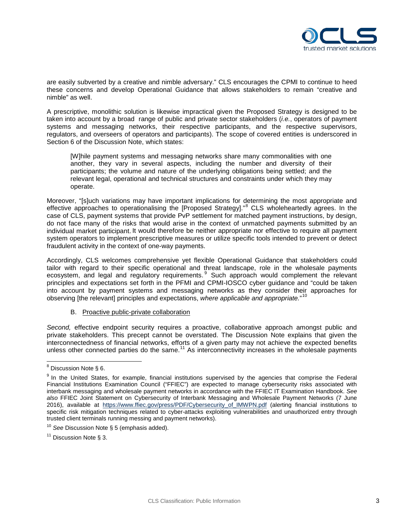

are easily subverted by a creative and nimble adversary." CLS encourages the CPMI to continue to heed these concerns and develop Operational Guidance that allows stakeholders to remain "creative and nimble" as well.

A prescriptive, monolithic solution is likewise impractical given the Proposed Strategy is designed to be taken into account by a broad range of public and private sector stakeholders (*i.e.*, operators of payment systems and messaging networks, their respective participants, and the respective supervisors, regulators, and overseers of operators and participants). The scope of covered entities is underscored in Section 6 of the Discussion Note, which states:

[W]hile payment systems and messaging networks share many commonalities with one another, they vary in several aspects, including the number and diversity of their participants; the volume and nature of the underlying obligations being settled; and the relevant legal, operational and technical structures and constraints under which they may operate.

Moreover, "[s]uch variations may have important implications for determining the most appropriate and effective approaches to operationalising the [Proposed Strategy]."[8](#page-2-0) CLS wholeheartedly agrees. In the case of CLS, payment systems that provide PvP settlement for matched payment instructions, by design, do not face many of the risks that would arise in the context of unmatched payments submitted by an individual market participant. It would therefore be neither appropriate nor effective to require all payment system operators to implement prescriptive measures or utilize specific tools intended to prevent or detect fraudulent activity in the context of one-way payments.

Accordingly, CLS welcomes comprehensive yet flexible Operational Guidance that stakeholders could tailor with regard to their specific operational and threat landscape, role in the wholesale payments ecosystem, and legal and regulatory requirements. <sup>[9](#page-2-1)</sup> Such approach would complement the relevant principles and expectations set forth in the PFMI and CPMI-IOSCO cyber guidance and "could be taken into account by payment systems and messaging networks as they consider their approaches for observing [the relevant] principles and expectations, *where applicable and appropriate.*" [10](#page-2-2)

### B. Proactive public-private collaboration

*Second,* effective endpoint security requires a proactive, collaborative approach amongst public and private stakeholders. This precept cannot be overstated. The Discussion Note explains that given the interconnectedness of financial networks, efforts of a given party may not achieve the expected benefits unless other connected parties do the same. $11$  As interconnectivity increases in the wholesale payments

<span id="page-2-0"></span><sup>8</sup> Discussion Note § 6.

<span id="page-2-1"></span><sup>&</sup>lt;sup>9</sup> In the United States, for example, financial institutions supervised by the agencies that comprise the Federal Financial Institutions Examination Council ("FFIEC") are expected to manage cybersecurity risks associated with interbank messaging and wholesale payment networks in accordance with the FFIEC IT Examination Handbook. *See also* FFIEC Joint Statement on Cybersecurity of Interbank Messaging and Wholesale Payment Networks (7 June 2016), available at https://www.ffiec.gov/press/PDF/Cybersecurity of IMWPN.pdf (alerting financial institutions to specific risk mitigation techniques related to cyber-attacks exploiting vulnerabilities and unauthorized entry through trusted client terminals running messing and payment networks).

<span id="page-2-2"></span><sup>10</sup> *See* Discussion Note § 5 (emphasis added).

<span id="page-2-3"></span> $11$  Discussion Note § 3.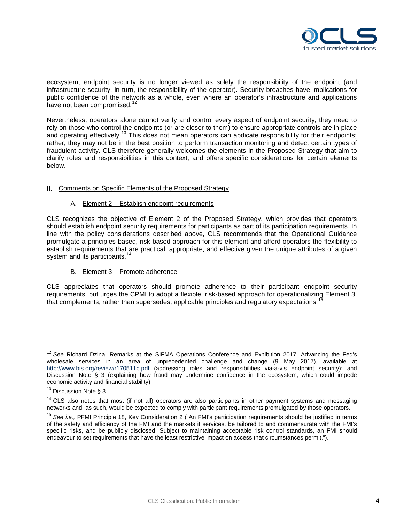

ecosystem, endpoint security is no longer viewed as solely the responsibility of the endpoint (and infrastructure security, in turn, the responsibility of the operator). Security breaches have implications for public confidence of the network as a whole, even where an operator's infrastructure and applications have not been compromised.<sup>[12](#page-3-0)</sup>

Nevertheless, operators alone cannot verify and control every aspect of endpoint security; they need to rely on those who control the endpoints (or are closer to them) to ensure appropriate controls are in place and operating effectively.<sup>[13](#page-3-1)</sup> This does not mean operators can abdicate responsibility for their endpoints; rather, they may not be in the best position to perform transaction monitoring and detect certain types of fraudulent activity. CLS therefore generally welcomes the elements in the Proposed Strategy that aim to clarify roles and responsibilities in this context, and offers specific considerations for certain elements below.

# II. Comments on Specific Elements of the Proposed Strategy

# A. Element 2 – Establish endpoint requirements

CLS recognizes the objective of Element 2 of the Proposed Strategy, which provides that operators should establish endpoint security requirements for participants as part of its participation requirements. In line with the policy considerations described above, CLS recommends that the Operational Guidance promulgate a principles-based, risk-based approach for this element and afford operators the flexibility to establish requirements that are practical, appropriate, and effective given the unique attributes of a given system and its participants.<sup>[14](#page-3-2)</sup>

# B. Element 3 – Promote adherence

CLS appreciates that operators should promote adherence to their participant endpoint security requirements, but urges the CPMI to adopt a flexible, risk-based approach for operationalizing Element 3, that complements, rather than supersedes, applicable principles and regulatory expectations. [15](#page-3-3) 

<span id="page-3-0"></span><sup>12</sup> *See* Richard Dzina, Remarks at the SIFMA Operations Conference and Exhibition 2017: Advancing the Fed's wholesale services in an area of unprecedented challenge and change (9 May 2017), available at <http://www.bis.org/review/r170511b.pdf> (addressing roles and responsibilities via-a-vis endpoint security); and Discussion Note § 3 (explaining how fraud may undermine confidence in the ecosystem, which could impede economic activity and financial stability).

<span id="page-3-1"></span> $13$  Discussion Note § 3.

<span id="page-3-2"></span><sup>&</sup>lt;sup>14</sup> CLS also notes that most (if not all) operators are also participants in other payment systems and messaging networks and, as such, would be expected to comply with participant requirements promulgated by those operators.

<span id="page-3-3"></span><sup>15</sup> *See i.e.,* PFMI Principle 18, Key Consideration 2 ("An FMI's participation requirements should be justified in terms of the safety and efficiency of the FMI and the markets it services, be tailored to and commensurate with the FMI's specific risks, and be publicly disclosed. Subject to maintaining acceptable risk control standards, an FMI should endeavour to set requirements that have the least restrictive impact on access that circumstances permit.").